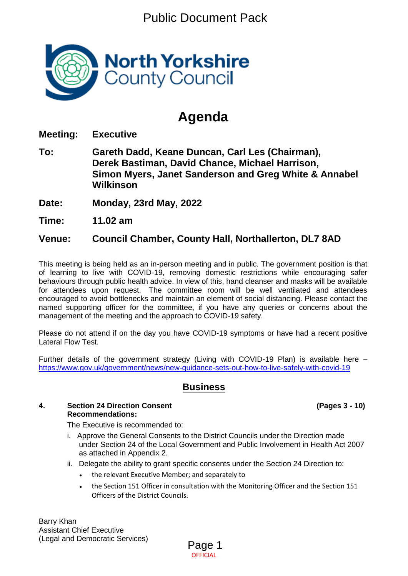Public Document Pack



# **Agenda**

**Meeting: Executive**

- **To: Gareth Dadd, Keane Duncan, Carl Les (Chairman), Derek Bastiman, David Chance, Michael Harrison, Simon Myers, Janet Sanderson and Greg White & Annabel Wilkinson**
- **Date: Monday, 23rd May, 2022**
- **Time: 11.02 am**

## **Venue: Council Chamber, County Hall, Northallerton, DL7 8AD**

This meeting is being held as an in-person meeting and in public. The government position is that of learning to live with COVID-19, removing domestic restrictions while encouraging safer behaviours through public health advice. In view of this, hand cleanser and masks will be available for attendees upon request. The committee room will be well ventilated and attendees encouraged to avoid bottlenecks and maintain an element of social distancing. Please contact the named supporting officer for the committee, if you have any queries or concerns about the management of the meeting and the approach to COVID-19 safety.

Please do not attend if on the day you have COVID-19 symptoms or have had a recent positive Lateral Flow Test.

Further details of the government strategy (Living with COVID-19 Plan) is available here – <https://www.gov.uk/government/news/new-guidance-sets-out-how-to-live-safely-with-covid-19>

## **Business**

#### **4. Section 24 Direction Consent (Pages 3 - 10) Recommendations:**

The Executive is recommended to:

- i. Approve the General Consents to the District Councils under the Direction made under Section 24 of the Local Government and Public Involvement in Health Act 2007 as attached in Appendix 2.
- ii. Delegate the ability to grant specific consents under the Section 24 Direction to:
	- the relevant Executive Member; and separately to
	- the Section 151 Officer in consultation with the Monitoring Officer and the Section 151 Officers of the District Councils.

Barry Khan Assistant Chief Executive (Legal and Democratic Services)

**OFFICIAL** Page 1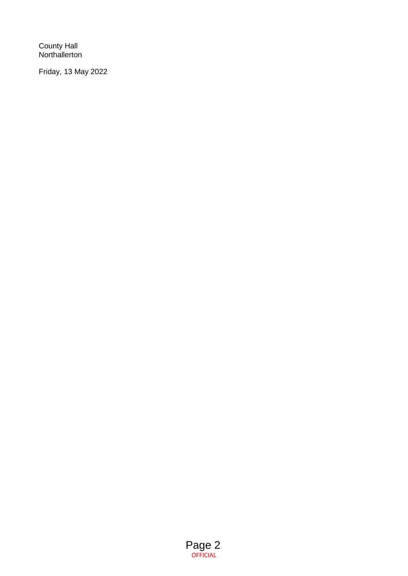County Hall Northallerton

Friday, 13 May 2022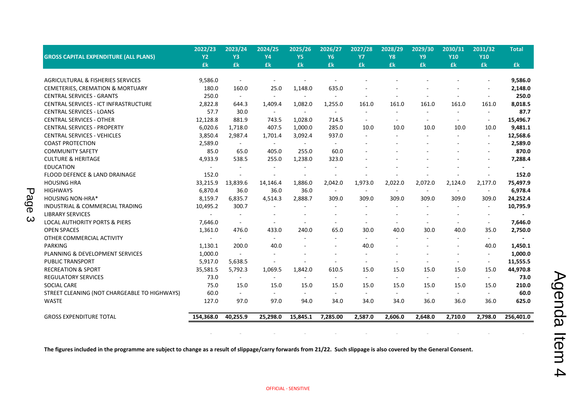|                                              | 2022/23   | 2023/24                  | 2024/25                  | 2025/26                  | 2026/27   | 2027/28                  | 2028/29                  | 2029/30                  | 2030/31        | 2031/32                  | <b>Total</b>   |
|----------------------------------------------|-----------|--------------------------|--------------------------|--------------------------|-----------|--------------------------|--------------------------|--------------------------|----------------|--------------------------|----------------|
| <b>GROSS CAPITAL EXPENDITURE (ALL PLANS)</b> | <b>Y2</b> | Y3                       | <b>Y4</b>                | Y <sub>5</sub>           | <b>Y6</b> | <b>Y7</b>                | <b>Y8</b>                | Y9                       | <b>Y10</b>     | <b>Y10</b>               |                |
|                                              | £k        | £k                       | £k                       | £k                       | £k        | £k                       | £k                       | £k                       | £k             | £k                       | £k             |
|                                              |           |                          |                          |                          |           |                          |                          |                          |                |                          |                |
| <b>AGRICULTURAL &amp; FISHERIES SERVICES</b> | 9.586.0   |                          | $\overline{\phantom{a}}$ |                          |           |                          |                          |                          |                |                          | 9,586.0        |
| CEMETERIES, CREMATION & MORTUARY             | 180.0     | 160.0                    | 25.0                     | 1,148.0                  | 635.0     |                          |                          |                          |                |                          | 2,148.0        |
| <b>CENTRAL SERVICES - GRANTS</b>             | 250.0     | $\sim$                   | $\blacksquare$           |                          |           | ٠                        |                          |                          |                | $\sim$                   | 250.0          |
| CENTRAL SERVICES - ICT INFRASTRUCTURE        | 2,822.8   | 644.3                    | 1,409.4                  | 1,082.0                  | 1,255.0   | 161.0                    | 161.0                    | 161.0                    | 161.0          | 161.0                    | 8,018.5        |
| <b>CENTRAL SERVICES - LOANS</b>              | 57.7      | 30.0                     |                          | $\sim$                   | $\sim$    | $\overline{a}$           | ÷.                       | $\sim$                   | $\overline{a}$ | $\sim$                   | 87.7           |
| <b>CENTRAL SERVICES - OTHER</b>              | 12,128.8  | 881.9                    | 743.5                    | 1,028.0                  | 714.5     | $\overline{\phantom{a}}$ | $\overline{\phantom{a}}$ | $\overline{\phantom{a}}$ | $\sim$         | $\sim$                   | 15,496.7       |
| <b>CENTRAL SERVICES - PROPERTY</b>           | 6,020.6   | 1,718.0                  | 407.5                    | 1,000.0                  | 285.0     | 10.0                     | 10.0                     | 10.0                     | 10.0           | 10.0                     | 9,481.1        |
| <b>CENTRAL SERVICES - VEHICLES</b>           | 3,850.4   | 2,987.4                  | 1,701.4                  | 3,092.4                  | 937.0     | $\blacksquare$           | $\sim$                   |                          | $\sim$         | $\sim$                   | 12,568.6       |
| <b>COAST PROTECTION</b>                      | 2,589.0   | $\sim$                   | $\sim$                   | $\overline{\phantom{a}}$ | $\sim$    |                          |                          |                          |                | $\sim$                   | 2,589.0        |
| <b>COMMUNITY SAFETY</b>                      | 85.0      | 65.0                     | 405.0                    | 255.0                    | 60.0      |                          |                          |                          |                | $\sim$                   | 870.0          |
| <b>CULTURE &amp; HERITAGE</b>                | 4,933.9   | 538.5                    | 255.0                    | 1,238.0                  | 323.0     |                          |                          |                          |                |                          | 7,288.4        |
| <b>EDUCATION</b>                             | $\sim$    | $\sim$                   | $\sim$                   | $\overline{\phantom{a}}$ |           |                          |                          |                          |                |                          | $\blacksquare$ |
| FLOOD DEFENCE & LAND DRAINAGE                | 152.0     |                          | $\sim$                   | $\sim$                   | $\sim$    |                          |                          |                          |                | $\sim$                   | 152.0          |
| <b>HOUSING HRA</b>                           | 33,215.9  | 13,839.6                 | 14,146.4                 | 1,886.0                  | 2,042.0   | 1,973.0                  | 2,022.0                  | 2,072.0                  | 2,124.0        | 2,177.0                  | 75,497.9       |
| <b>HIGHWAYS</b>                              | 6,870.4   | 36.0                     | 36.0                     | 36.0                     | $\sim$    | $\overline{\phantom{a}}$ | $\sim$                   | $\sim$                   | $\sim$         | $\sim$                   | 6,978.4        |
| <b>HOUSING NON-HRA*</b>                      | 8,159.7   | 6,835.7                  | 4,514.3                  | 2,888.7                  | 309.0     | 309.0                    | 309.0                    | 309.0                    | 309.0          | 309.0                    | 24,252.4       |
| INDUSTRIAL & COMMERCIAL TRADING              | 10,495.2  | 300.7                    |                          |                          |           |                          |                          |                          |                | $\blacksquare$           | 10,795.9       |
| <b>LIBRARY SERVICES</b>                      |           |                          |                          |                          |           |                          |                          |                          |                | $\overline{\phantom{a}}$ |                |
| <b>LOCAL AUTHORITY PORTS &amp; PIERS</b>     | 7,646.0   |                          |                          |                          | $\sim$    | ä,                       |                          | $\overline{\phantom{a}}$ |                | $\sim$                   | 7,646.0        |
| <b>OPEN SPACES</b>                           | 1,361.0   | 476.0                    | 433.0                    | 240.0                    | 65.0      | 30.0                     | 40.0                     | 30.0                     | 40.0           | 35.0                     | 2,750.0        |
| OTHER COMMERCIAL ACTIVITY                    | $\sim$    | $\overline{\phantom{a}}$ | $\sim$                   | $\blacksquare$           | $\sim$    | $\blacksquare$           | $\sim$                   |                          | $\sim$         | $\sim$ .                 | $\sim$         |
| <b>PARKING</b>                               | 1,130.1   | 200.0                    | 40.0                     |                          | $\sim$    | 40.0                     |                          |                          | ÷.             | 40.0                     | 1,450.1        |
| PLANNING & DEVELOPMENT SERVICES              | 1,000.0   | $\sim$                   | $\overline{\phantom{a}}$ |                          |           | $\overline{\phantom{a}}$ |                          |                          | $\blacksquare$ | $\sim$                   | 1,000.0        |
| <b>PUBLIC TRANSPORT</b>                      | 5,917.0   | 5,638.5                  |                          | $\overline{a}$           | $\sim$    | $\sim$                   | $\sim$                   | $\sim$                   | ٠              | $\sim$                   | 11,555.5       |
| <b>RECREATION &amp; SPORT</b>                | 35,581.5  | 5,792.3                  | 1,069.5                  | 1,842.0                  | 610.5     | 15.0                     | 15.0                     | 15.0                     | 15.0           | 15.0                     | 44,970.8       |
| <b>REGULATORY SERVICES</b>                   | 73.0      | $\sim$                   | $\sim$                   | $\sim$                   | $\sim$    | $\sim$                   | $\sim$                   | $\sim$                   | $\sim$         | $\sim$                   | 73.0           |
| <b>SOCIAL CARE</b>                           | 75.0      | 15.0                     | 15.0                     | 15.0                     | 15.0      | 15.0                     | 15.0                     | 15.0                     | 15.0           | 15.0                     | 210.0          |
| STREET CLEANING (NOT CHARGEABLE TO HIGHWAYS) | 60.0      | $\sim$                   | $\sim$                   | $\sim$                   | $\sim$    | $\sim$                   | $\sim$                   | $\sim$                   | $\sim$         | $\sim$                   | 60.0           |
| <b>WASTE</b>                                 | 127.0     | 97.0                     | 97.0                     | 94.0                     | 34.0      | 34.0                     | 34.0                     | 36.0                     | 36.0           | 36.0                     | 625.0          |
|                                              |           |                          |                          |                          |           |                          |                          |                          |                |                          |                |
| <b>GROSS EXPENDITURE TOTAL</b>               | 154,368.0 | 40,255.9                 | 25,298.0                 | 15,845.1                 | 7,285.00  | 2,587.0                  | 2,606.0                  | 2,648.0                  | 2,710.0        | 2,798.0                  | 256,401.0      |
|                                              |           |                          |                          |                          |           |                          |                          |                          |                |                          |                |

**The figures included in the programme are subject to change as a result of slippage/carry forwards from 21/22. Such slippage is also covered by the General Consent.**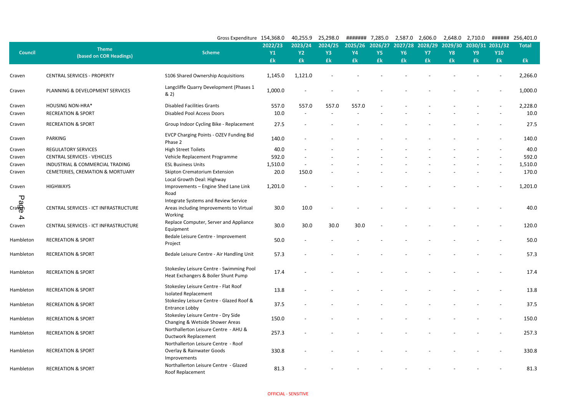|                               |                                         | Gross Expenditure 154,368.0                                                                |           | 40,255.9  | 25,298.0  | ######## 7,285.0 |           | 2,587.0   | 2,606.0   | 2,648.0                 | 2,710.0   | ######     | 256,401.0    |
|-------------------------------|-----------------------------------------|--------------------------------------------------------------------------------------------|-----------|-----------|-----------|------------------|-----------|-----------|-----------|-------------------------|-----------|------------|--------------|
|                               |                                         |                                                                                            | 2022/23   | 2023/24   | 2024/25   | 2025/26          | 2026/27   | 2027/28   | 2028/29   | 2029/30 2030/31 2031/32 |           |            | <b>Total</b> |
| <b>Council</b>                | <b>Theme</b><br>(based on COR Headings) | <b>Scheme</b>                                                                              | <b>Y1</b> | <b>Y2</b> | <b>Y3</b> | <b>Y4</b>        | <b>Y5</b> | <b>Y6</b> | <b>Y7</b> | <b>Y8</b>               | <b>Y9</b> | <b>Y10</b> |              |
|                               |                                         |                                                                                            | £k        | <b>£k</b> | <b>£k</b> | £k               | £k        | £k        | £k        | £k                      | £k        | £k         | £k           |
| Craven                        | <b>CENTRAL SERVICES - PROPERTY</b>      | S106 Shared Ownership Acquisitions                                                         | 1,145.0   | 1,121.0   |           |                  |           |           |           |                         |           |            | 2,266.0      |
| Craven                        | PLANNING & DEVELOPMENT SERVICES         | Langcliffe Quarry Development (Phases 1<br>& 2)                                            | 1,000.0   |           |           |                  |           |           |           |                         |           |            | 1,000.0      |
| Craven                        | <b>HOUSING NON-HRA*</b>                 | <b>Disabled Facilities Grants</b>                                                          | 557.0     | 557.0     | 557.0     | 557.0            |           |           |           |                         |           |            | 2,228.0      |
| Craven                        | <b>RECREATION &amp; SPORT</b>           | <b>Disabled Pool Access Doors</b>                                                          | 10.0      |           |           |                  |           |           |           |                         |           |            | 10.0         |
| Craven                        | <b>RECREATION &amp; SPORT</b>           | Group Indoor Cycling Bike - Replacement                                                    | 27.5      |           |           |                  |           |           |           |                         |           |            | 27.5         |
| Craven                        | PARKING                                 | EVCP Charging Points - OZEV Funding Bid<br>Phase 2                                         | 140.0     |           |           |                  |           |           |           |                         |           |            | 140.0        |
| Craven                        | <b>REGULATORY SERVICES</b>              | <b>High Street Toilets</b>                                                                 | 40.0      |           |           |                  |           |           |           |                         |           |            | 40.0         |
| Craven                        | <b>CENTRAL SERVICES - VEHICLES</b>      | Vehicle Replacement Programme                                                              | 592.0     |           |           |                  |           |           |           |                         |           |            | 592.0        |
| Craven                        | INDUSTRIAL & COMMERCIAL TRADING         | <b>ESL Business Units</b>                                                                  | 1,510.0   |           |           |                  |           |           |           |                         |           |            | 1,510.0      |
| Craven                        | CEMETERIES, CREMATION & MORTUARY        | <b>Skipton Crematorium Extension</b>                                                       | 20.0      | 150.0     |           |                  |           |           |           |                         |           |            | 170.0        |
| Craven                        | <b>HIGHWAYS</b>                         | Local Growth Deal: Highway<br>Improvements - Engine Shed Lane Link<br>Road                 | 1,201.0   |           |           |                  |           |           |           |                         |           |            | 1,201.0      |
| <del>ل</del><br>ھ<br>Cra<br>4 | CENTRAL SERVICES - ICT INFRASTRUCTURE   | Integrate Systems and Review Service<br>Areas including Improvements to Virtual<br>Working | 30.0      | 10.0      |           |                  |           |           |           |                         |           |            | 40.0         |
| Craven                        | CENTRAL SERVICES - ICT INFRASTRUCTURE   | Replace Computer, Server and Appliance<br>Equipment                                        | 30.0      | 30.0      | 30.0      | 30.0             |           |           |           |                         |           |            | 120.0        |
| Hambleton                     | <b>RECREATION &amp; SPORT</b>           | Bedale Leisure Centre - Improvement<br>Project                                             | 50.0      |           |           |                  |           |           |           |                         |           |            | 50.0         |
| Hambleton                     | <b>RECREATION &amp; SPORT</b>           | Bedale Leisure Centre - Air Handling Unit                                                  | 57.3      |           |           |                  |           |           |           |                         |           |            | 57.3         |
| Hambleton                     | <b>RECREATION &amp; SPORT</b>           | Stokesley Leisure Centre - Swimming Pool<br>Heat Exchangers & Boiler Shunt Pump            | 17.4      |           |           |                  |           |           |           |                         |           |            | 17.4         |
| Hambleton                     | <b>RECREATION &amp; SPORT</b>           | Stokesley Leisure Centre - Flat Roof<br><b>Isolated Replacement</b>                        | 13.8      |           |           |                  |           |           |           |                         |           |            | 13.8         |
| Hambleton                     | <b>RECREATION &amp; SPORT</b>           | Stokesley Leisure Centre - Glazed Roof &<br>Entrance Lobby                                 | 37.5      |           |           |                  |           |           |           |                         |           |            | 37.5         |
| Hambleton                     | <b>RECREATION &amp; SPORT</b>           | Stokesley Leisure Centre - Dry Side<br>Changing & Wetside Shower Areas                     | 150.0     |           |           |                  |           |           |           |                         |           |            | 150.0        |
| Hambleton                     | <b>RECREATION &amp; SPORT</b>           | Northallerton Leisure Centre - AHU &<br><b>Ductwork Replacement</b>                        | 257.3     |           |           |                  |           |           |           |                         |           |            | 257.3        |
| Hambleton                     | <b>RECREATION &amp; SPORT</b>           | Northallerton Leisure Centre - Roof<br>Overlay & Rainwater Goods<br>Improvements           | 330.8     |           |           |                  |           |           |           |                         |           |            | 330.8        |
| Hambleton                     | <b>RECREATION &amp; SPORT</b>           | Northallerton Leisure Centre - Glazed<br>Roof Replacement                                  | 81.3      |           |           |                  |           |           |           |                         |           |            | 81.3         |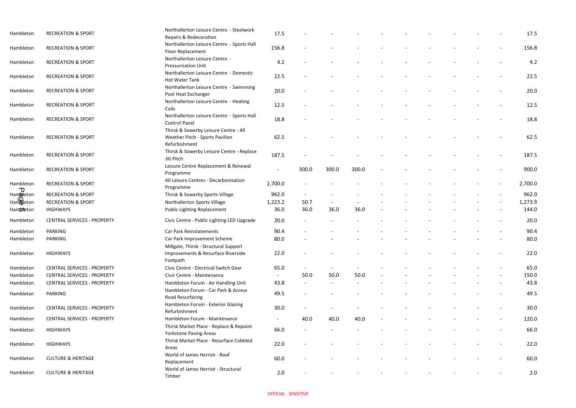| Hambleton          | <b>RECREATION &amp; SPORT</b>      | Northallerton Leisure Centre - Steelwork<br>Repairs & Redecoration                        | 17.5    |                          |       |       |  |  |                              | 17.5    |
|--------------------|------------------------------------|-------------------------------------------------------------------------------------------|---------|--------------------------|-------|-------|--|--|------------------------------|---------|
| Hambleton          | <b>RECREATION &amp; SPORT</b>      | Northallerton Leisure Centre - Sports Hall<br>Floor Replacement                           | 156.8   |                          |       |       |  |  |                              | 156.8   |
| Hambleton          | <b>RECREATION &amp; SPORT</b>      | Northallerton Leisure Centre -<br><b>Pressurisation Unit</b>                              | 4.2     |                          |       |       |  |  |                              | 4.2     |
| Hambleton          | <b>RECREATION &amp; SPORT</b>      | Northallerton Leisure Centre - Domestic<br><b>Hot Water Tank</b>                          | 22.5    |                          |       |       |  |  |                              | 22.5    |
| Hambleton          | <b>RECREATION &amp; SPORT</b>      | Northallerton Leisure Centre - Swimming<br>Pool Heat Exchanger                            | 20.0    |                          |       |       |  |  |                              | 20.0    |
| Hambleton          | <b>RECREATION &amp; SPORT</b>      | Northallerton Leisure Centre - Heating<br>Coils                                           | 12.5    |                          |       |       |  |  |                              | 12.5    |
| Hambleton          | <b>RECREATION &amp; SPORT</b>      | Northallerton Leisure Centre - Sports Hall<br><b>Control Panel</b>                        | 18.8    |                          |       |       |  |  |                              | 18.8    |
| Hambleton          | <b>RECREATION &amp; SPORT</b>      | Thirsk & Sowerby Leisure Centre - All<br>Weather Pitch - Sports Pavilion<br>Refurbishment | 62.5    |                          |       |       |  |  |                              | 62.5    |
| Hambleton          | <b>RECREATION &amp; SPORT</b>      | Thirsk & Sowerby Leisure Centre - Replace<br>3G Pitch                                     | 187.5   |                          |       |       |  |  |                              | 187.5   |
| Hambleton          | <b>RECREATION &amp; SPORT</b>      | Leisure Centre Replacement & Renewal<br>Programme                                         |         | 300.0                    | 300.0 | 300.0 |  |  |                              | 900.0   |
| Hambleton<br>᠊ᠸ    | <b>RECREATION &amp; SPORT</b>      | All Leisure Centres - Decarbonisation<br>Programme                                        | 2,700.0 | $\overline{\phantom{a}}$ |       |       |  |  |                              | 2,700.0 |
| Ham <b>b</b> leton | <b>RECREATION &amp; SPORT</b>      | Thirsk & Sowerby Sports Village                                                           | 962.0   | $\sim$                   |       |       |  |  |                              | 962.0   |
| Hampleton          | <b>RECREATION &amp; SPORT</b>      | Northallerton Sports Village                                                              | 1,223.2 | 50.7                     |       |       |  |  |                              | 1,273.9 |
| Ham <b>theton</b>  | <b>HIGHWAYS</b>                    | Public Lighting Replacement                                                               | 36.0    | 36.0                     | 36.0  | 36.0  |  |  |                              | 144.0   |
| Hambleton          | <b>CENTRAL SERVICES - PROPERTY</b> | Civic Centre - Public Lighting LED Upgrade                                                | 20.0    |                          |       |       |  |  |                              | 20.0    |
| Hambleton          | PARKING                            | Car Park Reinstatements                                                                   | 90.4    |                          |       |       |  |  |                              | 90.4    |
| Hambleton          | <b>PARKING</b>                     | Car Park Improvement Scheme<br>Millgate, Thirsk - Structural Support                      | 80.0    |                          |       |       |  |  |                              | 80.0    |
| Hambleton          | <b>HIGHWAYS</b>                    | Improvements & Resurface Riverside<br>Footpath                                            | 22.0    |                          |       |       |  |  |                              | 22.0    |
| Hambleton          | <b>CENTRAL SERVICES - PROPERTY</b> | Civic Centre - Electrical Switch Gear                                                     | 65.0    | $\sim$                   |       |       |  |  |                              | 65.0    |
| Hambleton          | <b>CENTRAL SERVICES - PROPERTY</b> | Civic Centre - Maintenance                                                                |         | 50.0                     | 50.0  | 50.0  |  |  |                              | 150.0   |
| Hambleton          | <b>CENTRAL SERVICES - PROPERTY</b> | Hambleton Forum - Air Handling Unit                                                       | 43.8    | $\sim$                   |       |       |  |  |                              | 43.8    |
| Hambleton          | PARKING                            | Hambleton Forum - Car Park & Access<br>Road Resurfacing                                   | 49.5    | $\blacksquare$           |       |       |  |  |                              | 49.5    |
| Hambleton          | <b>CENTRAL SERVICES - PROPERTY</b> | Hambleton Forum - Exterior Glazing<br>Refurbishment                                       | 30.0    | $\overline{\phantom{0}}$ |       |       |  |  |                              | 30.0    |
| Hambleton          | <b>CENTRAL SERVICES - PROPERTY</b> | Hambleton Forum - Maintenance                                                             |         | 40.0                     | 40.0  | 40.0  |  |  |                              | 120.0   |
| Hambleton          | <b>HIGHWAYS</b>                    | Thirsk Market Place - Replace & Repoint<br><b>Yorkstone Paving Areas</b>                  | 66.0    | $\sim$                   |       |       |  |  |                              | 66.0    |
| Hambleton          | <b>HIGHWAYS</b>                    | Thirsk Market Place - Resurface Cobbled<br>Areas                                          | 22.0    |                          |       |       |  |  | $\qquad \qquad \blacksquare$ | 22.0    |
| Hambleton          | <b>CULTURE &amp; HERITAGE</b>      | World of James Herriot - Roof<br>Replacement                                              | 60.0    |                          |       |       |  |  |                              | 60.0    |
| Hambleton          | <b>CULTURE &amp; HERITAGE</b>      | World of James Herriot - Structural<br>Timber                                             | 2.0     |                          |       |       |  |  |                              | 2.0     |

|  | 17.5    |
|--|---------|
|  | 156.8   |
|  | 4.2     |
|  | 22.5    |
|  | 20.0    |
|  | 12.5    |
|  | 18.8    |
|  | 62.5    |
|  | 187.5   |
|  | 900.0   |
|  | 2,700.0 |
|  | 962.0   |
|  | 1,273.9 |
|  | 144.0   |
|  | 20.0    |
|  | 90.4    |
|  | 80.0    |
|  | 22.0    |
|  | 65.0    |
|  | 150.0   |
|  | 43.8    |
|  | 49.5    |
|  | 30.0    |
|  | 120.0   |
|  | 66.0    |
|  | 22.0    |
|  | 60.0    |
|  | 2.0     |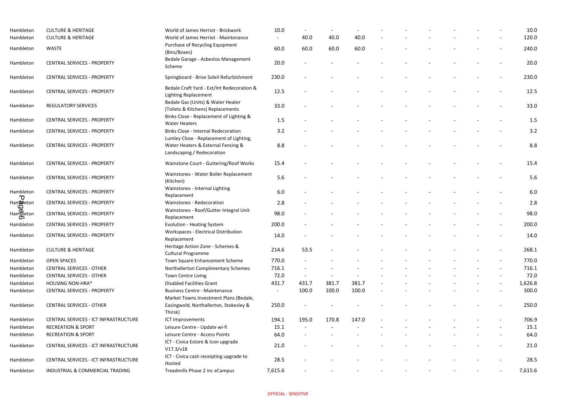| Hambleton                                                     | <b>CULTURE &amp; HERITAGE</b>         | World of James Herriot - Brickwork                                                          | 10.0    |        |        |       |  |  |                | 10.0    |
|---------------------------------------------------------------|---------------------------------------|---------------------------------------------------------------------------------------------|---------|--------|--------|-------|--|--|----------------|---------|
| Hambleton                                                     | <b>CULTURE &amp; HERITAGE</b>         | World of James Herriot - Maintenance                                                        |         | 40.0   | 40.0   | 40.0  |  |  |                | 120.0   |
| Hambleton                                                     | <b>WASTE</b>                          | Purchase of Recycling Equipment<br>(Bins/Boxes)                                             | 60.0    | 60.0   | 60.0   | 60.0  |  |  |                | 240.0   |
| Hambleton                                                     | <b>CENTRAL SERVICES - PROPERTY</b>    | Bedale Garage - Asbestos Management<br>Scheme                                               | 20.0    |        |        |       |  |  |                | 20.0    |
| Hambleton                                                     | <b>CENTRAL SERVICES - PROPERTY</b>    | Springboard - Brise Soleil Refurbishment                                                    | 230.0   |        |        |       |  |  |                | 230.0   |
| Hambleton                                                     | <b>CENTRAL SERVICES - PROPERTY</b>    | Bedale Craft Yard - Ext/Int Redecoration &<br><b>Lighting Replacement</b>                   | 12.5    |        |        |       |  |  |                | 12.5    |
| Hambleton                                                     | <b>REGULATORY SERVICES</b>            | Bedale Gas (Units) & Water Heater<br>(Toilets & Kitchens) Replacements                      | 33.0    |        |        |       |  |  |                | 33.0    |
| Hambleton                                                     | <b>CENTRAL SERVICES - PROPERTY</b>    | Binks Close - Replacement of Lighting &<br><b>Water Heaters</b>                             | 1.5     |        |        |       |  |  |                | 1.5     |
| Hambleton                                                     | <b>CENTRAL SERVICES - PROPERTY</b>    | <b>Binks Close - Internal Redecoration</b><br>Lumley Close - Replacement of Lighting,       | 3.2     |        |        |       |  |  |                | 3.2     |
| Hambleton                                                     | <b>CENTRAL SERVICES - PROPERTY</b>    | Water Heaters & External Fencing &<br>Landscaping / Redecoration                            | 8.8     |        |        |       |  |  |                | 8.8     |
| Hambleton                                                     | <b>CENTRAL SERVICES - PROPERTY</b>    | Wainstone Court - Guttering/Roof Works                                                      | 15.4    |        |        |       |  |  |                | 15.4    |
| Hambleton                                                     | <b>CENTRAL SERVICES - PROPERTY</b>    | Wainstones - Water Boiler Replacement<br>(Kitchen)                                          | 5.6     |        |        |       |  |  |                | 5.6     |
| Hambleton<br>᠊ᠣ                                               | <b>CENTRAL SERVICES - PROPERTY</b>    | Wainstones - Internal Lighting<br>Replacement                                               | 6.0     |        |        |       |  |  |                | 6.0     |
| Ham <sup>D</sup> eton                                         | <b>CENTRAL SERVICES - PROPERTY</b>    | Wainstones - Redecoration                                                                   | 2.8     |        |        |       |  |  |                | 2.8     |
| ഥ<br>$\begin{matrix} \mathsf{Ham} \\ \mathsf{O} \end{matrix}$ | <b>CENTRAL SERVICES - PROPERTY</b>    | Wainstones - Roof/Gutter Integral Unit<br>Replacement                                       | 98.0    |        |        |       |  |  |                | 98.0    |
| Hambleton                                                     | <b>CENTRAL SERVICES - PROPERTY</b>    | <b>Evolution - Heating System</b>                                                           | 200.0   |        |        |       |  |  |                | 200.0   |
| Hambleton                                                     | <b>CENTRAL SERVICES - PROPERTY</b>    | <b>Workspaces - Electrical Distribution</b><br>Replacement                                  | 14.0    |        |        |       |  |  |                | 14.0    |
| Hambleton                                                     | <b>CULTURE &amp; HERITAGE</b>         | Heritage Action Zone - Schemes &<br>Cultural Programme                                      | 214.6   | 53.5   |        |       |  |  |                | 268.1   |
| Hambleton                                                     | <b>OPEN SPACES</b>                    | Town Square Enhancement Scheme                                                              | 770.0   |        |        |       |  |  |                | 770.0   |
| Hambleton                                                     | <b>CENTRAL SERVICES - OTHER</b>       | Northallerton Complimentary Schemes                                                         | 716.1   |        |        |       |  |  |                | 716.1   |
| Hambleton                                                     | <b>CENTRAL SERVICES - OTHER</b>       | <b>Town Centre Living</b>                                                                   | 72.0    | $\sim$ | $\sim$ |       |  |  | $\blacksquare$ | 72.0    |
| Hambleton                                                     | <b>HOUSING NON-HRA*</b>               | <b>Disabled Facilities Grant</b>                                                            | 431.7   | 431.7  | 381.7  | 381.7 |  |  | $\sim$         | 1,626.8 |
| Hambleton                                                     | <b>CENTRAL SERVICES - PROPERTY</b>    | <b>Business Centre - Maintenance</b>                                                        |         | 100.0  | 100.0  | 100.0 |  |  | $\blacksquare$ | 300.0   |
| Hambleton                                                     | <b>CENTRAL SERVICES - OTHER</b>       | Market Towns Investment Plans (Bedale,<br>Easingwold, Northallerton, Stokesley &<br>Thirsk) | 250.0   |        |        |       |  |  |                | 250.0   |
| Hambleton                                                     | CENTRAL SERVICES - ICT INFRASTRUCTURE | ICT Improvements                                                                            | 194.1   | 195.0  | 170.8  | 147.0 |  |  |                | 706.9   |
| Hambleton                                                     | <b>RECREATION &amp; SPORT</b>         | Leisure Centre - Update wi-fi                                                               | 15.1    |        |        |       |  |  |                | 15.1    |
| Hambleton                                                     | <b>RECREATION &amp; SPORT</b>         | Leisure Centre - Access Points                                                              | 64.0    |        |        |       |  |  |                | 64.0    |
| Hambleton                                                     | CENTRAL SERVICES - ICT INFRASTRUCTURE | ICT - Civica Estore & Icon upgrade<br>V17.3/v18                                             | 21.0    |        |        |       |  |  |                | 21.0    |
| Hambleton                                                     | CENTRAL SERVICES - ICT INFRASTRUCTURE | ICT - Civica cash receipting upgrade to<br>Hosted                                           | 28.5    |        |        |       |  |  |                | 28.5    |
| Hambleton                                                     | INDUSTRIAL & COMMERCIAL TRADING       | Treadmills Phase 2 inc eCampus                                                              | 7,615.6 | $\sim$ |        |       |  |  | $\sim$         | 7,615.6 |

|  | 10.0    |
|--|---------|
|  | 120.0   |
|  | 240.0   |
|  | 20.0    |
|  | 230.0   |
|  | 12.5    |
|  | 33.0    |
|  | 1.5     |
|  | 3.2     |
|  |         |
|  | 8.8     |
|  | 15.4    |
|  | 5.6     |
|  | 6.0     |
|  | 2.8     |
|  | 98.0    |
|  | 200.0   |
|  | 14.0    |
|  | 268.1   |
|  | 770.0   |
|  | 716.1   |
|  | 72.0    |
|  | 1,626.8 |
|  | 300.0   |
|  | 250.0   |
|  | 706.9   |
|  | 15.1    |
|  | 64.0    |
|  | 21.0    |
|  | 28.5    |
|  |         |
|  | 7,615.6 |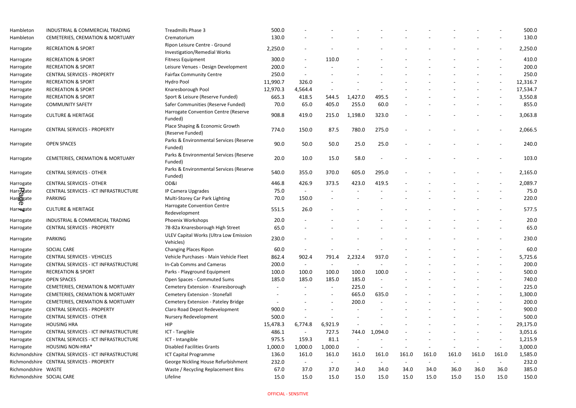| Hambleton                 | INDUSTRIAL & COMMERCIAL TRADING                     | Treadmills Phase 3                                                   | 500.0    |                |                          |         |         |                |       |       |       |                          | 500.0    |
|---------------------------|-----------------------------------------------------|----------------------------------------------------------------------|----------|----------------|--------------------------|---------|---------|----------------|-------|-------|-------|--------------------------|----------|
| Hambleton                 | CEMETERIES, CREMATION & MORTUARY                    | Crematorium                                                          | 130.0    |                |                          |         |         |                |       |       |       |                          | 130.0    |
| Harrogate                 | <b>RECREATION &amp; SPORT</b>                       | Ripon Leisure Centre - Ground<br><b>Investigation/Remedial Works</b> | 2,250.0  | $\blacksquare$ |                          |         |         |                |       |       |       |                          | 2,250.0  |
| Harrogate                 | <b>RECREATION &amp; SPORT</b>                       | <b>Fitness Equipment</b>                                             | 300.0    | $\sim$         | 110.0                    |         |         |                |       |       |       |                          | 410.0    |
| Harrogate                 | <b>RECREATION &amp; SPORT</b>                       | Leisure Venues - Design Development                                  | 200.0    |                |                          |         |         |                |       |       |       |                          | 200.0    |
| Harrogate                 | <b>CENTRAL SERVICES - PROPERTY</b>                  | <b>Fairfax Community Centre</b>                                      | 250.0    |                |                          |         |         |                |       |       |       |                          | 250.0    |
| Harrogate                 | <b>RECREATION &amp; SPORT</b>                       | <b>Hydro Pool</b>                                                    | 11,990.7 | 326.0          |                          |         |         |                |       |       |       |                          | 12,316.7 |
| Harrogate                 | <b>RECREATION &amp; SPORT</b>                       | Knaresborough Pool                                                   | 12,970.3 | 4,564.4        |                          |         |         |                |       |       |       |                          | 17,534.7 |
| Harrogate                 | <b>RECREATION &amp; SPORT</b>                       | Sport & Leisure (Reserve Funded)                                     | 665.3    | 418.5          | 544.5                    | 1,427.0 | 495.5   |                |       |       |       |                          | 3,550.8  |
| Harrogate                 | <b>COMMUNITY SAFETY</b>                             | Safer Communities (Reserve Funded)                                   | 70.0     | 65.0           | 405.0                    | 255.0   | 60.0    |                |       |       |       |                          | 855.0    |
| Harrogate                 | <b>CULTURE &amp; HERITAGE</b>                       | Harrogate Convention Centre (Reserve<br>Funded)                      | 908.8    | 419.0          | 215.0                    | 1,198.0 | 323.0   |                |       |       |       |                          | 3,063.8  |
| Harrogate                 | <b>CENTRAL SERVICES - PROPERTY</b>                  | Place Shaping & Economic Growth<br>(Reserve Funded)                  | 774.0    | 150.0          | 87.5                     | 780.0   | 275.0   |                |       |       |       |                          | 2,066.5  |
| Harrogate                 | <b>OPEN SPACES</b>                                  | Parks & Environmental Services (Reserve<br>Funded)                   | 90.0     | 50.0           | 50.0                     | 25.0    | 25.0    |                |       |       |       |                          | 240.0    |
| Harrogate                 | CEMETERIES, CREMATION & MORTUARY                    | Parks & Environmental Services (Reserve<br>Funded)                   | 20.0     | 10.0           | 15.0                     | 58.0    |         |                |       |       |       |                          | 103.0    |
| Harrogate                 | <b>CENTRAL SERVICES - OTHER</b>                     | Parks & Environmental Services (Reserve<br>Funded)                   | 540.0    | 355.0          | 370.0                    | 605.0   | 295.0   |                |       |       |       |                          | 2,165.0  |
| Harrogate                 | <b>CENTRAL SERVICES - OTHER</b>                     | OD&I                                                                 | 446.8    | 426.9          | 373.5                    | 423.0   | 419.5   |                |       |       |       |                          | 2,089.7  |
| Harr <b>ag</b> ate        | CENTRAL SERVICES - ICT INFRASTRUCTURE               | IP Camera Upgrades                                                   | 75.0     |                |                          |         |         |                |       |       |       |                          | 75.C     |
| Hartogate                 | <b>PARKING</b>                                      | Multi-Storey Car Park Lighting                                       | 70.0     | 150.0          |                          |         |         |                |       |       |       |                          | 220.0    |
| <sup>O</sup><br>Harrogate | <b>CULTURE &amp; HERITAGE</b>                       | <b>Harrogate Convention Centre</b><br>Redevelopment                  | 551.5    | 26.0           |                          |         |         |                |       |       |       |                          | 577.5    |
| Harrogate                 | INDUSTRIAL & COMMERCIAL TRADING                     | Phoenix Workshops                                                    | 20.0     |                |                          |         |         |                |       |       |       |                          | 20.0     |
| Harrogate                 | <b>CENTRAL SERVICES - PROPERTY</b>                  | 78-82a Knaresborough High Street                                     | 65.0     |                |                          |         |         |                |       |       |       |                          | 65.C     |
| Harrogate                 | <b>PARKING</b>                                      | ULEV Capital Works (Ultra Low Emission<br>Vehicles)                  | 230.0    |                |                          |         |         |                |       |       |       |                          | 230.0    |
| Harrogate                 | SOCIAL CARE                                         | <b>Changing Places Ripon</b>                                         | 60.0     | $\sim$         |                          |         |         |                |       |       |       |                          | 60.C     |
| Harrogate                 | <b>CENTRAL SERVICES - VEHICLES</b>                  | Vehicle Purchases - Main Vehicle Fleet                               | 862.4    | 902.4          | 791.4                    | 2,232.4 | 937.0   |                |       |       |       | $\blacksquare$           | 5,725.6  |
| Harrogate                 | CENTRAL SERVICES - ICT INFRASTRUCTURE               | In-Cab Comms and Cameras                                             | 200.0    | $\sim$         |                          |         |         |                |       |       |       |                          | 200.0    |
| Harrogate                 | <b>RECREATION &amp; SPORT</b>                       | Parks - Playground Equipment                                         | 100.0    | 100.0          | 100.0                    | 100.0   | 100.0   |                |       |       |       |                          | 500.0    |
| Harrogate                 | <b>OPEN SPACES</b>                                  | Open Spaces - Commuted Sums                                          | 185.0    | 185.0          | 185.0                    | 185.0   |         |                |       |       |       |                          | 740.0    |
| Harrogate                 | <b>CEMETERIES, CREMATION &amp; MORTUARY</b>         | Cemetery Extension - Knaresborough                                   |          |                | $\sim$                   | 225.0   |         |                |       |       |       | $\overline{\phantom{a}}$ | 225.0    |
| Harrogate                 | CEMETERIES, CREMATION & MORTUARY                    | Cemetery Extension - Stonefall                                       |          |                | $\overline{\phantom{a}}$ | 665.0   | 635.0   |                |       |       |       | $\overline{\phantom{a}}$ | 1,300.0  |
| Harrogate                 | CEMETERIES, CREMATION & MORTUARY                    | Cemetery Extension - Pateley Bridge                                  |          |                | $\overline{\phantom{a}}$ | 200.0   |         |                |       |       |       |                          | 200.0    |
| Harrogate                 | <b>CENTRAL SERVICES - PROPERTY</b>                  | Claro Road Depot Redevelopment                                       | 900.0    |                |                          |         |         |                |       |       |       | $\blacksquare$           | 900.0    |
| Harrogate                 | <b>CENTRAL SERVICES - OTHER</b>                     | Nursery Redevelopment                                                | 500.0    |                |                          |         |         |                |       |       |       |                          | 500.0    |
| Harrogate                 | <b>HOUSING HRA</b>                                  | <b>HIP</b>                                                           | 15,478.3 | 6,774.8        | 6,921.9                  |         |         |                |       |       |       |                          | 29,175.0 |
| Harrogate                 | CENTRAL SERVICES - ICT INFRASTRUCTURE               | ICT - Tangible                                                       | 486.1    | $\sim$         | 727.5                    | 744.0   | 1,094.0 |                |       |       |       |                          | 3,051.6  |
| Harrogate                 | CENTRAL SERVICES - ICT INFRASTRUCTURE               | ICT - Intangible                                                     | 975.5    | 159.3          | 81.1                     |         |         |                |       |       |       | $\overline{\phantom{a}}$ | 1,215.9  |
| Harrogate                 | <b>HOUSING NON-HRA*</b>                             | <b>Disabled Facilities Grants</b>                                    | 1,000.0  | 1,000.0        | 1,000.0                  |         |         |                |       |       |       | $\blacksquare$           | 3,000.0  |
|                           | Richmondshire CENTRAL SERVICES - ICT INFRASTRUCTURE | <b>ICT Capital Programme</b>                                         | 136.0    | 161.0          | 161.0                    | 161.0   | 161.0   | 161.0          | 161.0 | 161.0 | 161.0 | 161.0                    | 1,585.0  |
|                           | Richmondshire CENTRAL SERVICES - PROPERTY           | George Nickling House Refurbishment                                  | 232.0    | $\sim$         | $\blacksquare$           |         |         | $\blacksquare$ |       |       |       |                          | 232.0    |
| Richmondshire WASTE       |                                                     | Waste / Recycling Replacement Bins                                   | 67.0     | 37.0           | 37.0                     | 34.0    | 34.0    | 34.0           | 34.0  | 36.0  | 36.0  | 36.0                     | 385.0    |
| Richmondshire SOCIAL CARE |                                                     | Lifeline                                                             | 15.0     | 15.0           | 15.0                     | 15.0    | 15.0    | 15.0           | 15.0  | 15.0  | 15.0  | 15.0                     | 150.0    |

|       |       |       | 500.0    |
|-------|-------|-------|----------|
|       |       |       | 130.0    |
|       |       |       | 2,250.0  |
|       |       |       | 410.0    |
|       |       |       | 200.0    |
|       |       |       | 250.0    |
|       |       |       | 12,316.7 |
|       |       |       | 17,534.7 |
|       |       |       | 3,550.8  |
|       |       |       | 855.0    |
|       |       |       | 3,063.8  |
|       |       |       | 2,066.5  |
|       |       |       | 240.0    |
|       |       |       | 103.0    |
|       |       |       | 2,165.0  |
|       |       |       | 2,089.7  |
|       |       |       | 75.0     |
|       |       |       | 220.0    |
|       |       |       | 577.5    |
|       |       |       | 20.0     |
|       |       |       | 65.0     |
|       |       |       | 230.0    |
|       |       |       | 60.0     |
|       |       |       | 5,725.6  |
|       |       |       | 200.0    |
|       |       |       | 500.0    |
|       |       |       | 740.0    |
|       |       |       | 225.0    |
|       |       |       | 1,300.0  |
|       |       |       | 200.0    |
|       |       |       | 900.0    |
|       |       |       | 500.0    |
|       |       |       | 29,175.0 |
|       |       |       | 3,051.6  |
|       |       |       | 1,215.9  |
|       |       |       | 3,000.0  |
| 161.0 | 161.0 | 161.0 | 1,585.0  |
|       |       |       | 232.0    |
| 36.0  | 36.0  | 36.0  | 385.0    |
| 15.0  | 15.0  | 15.0  | 150.0    |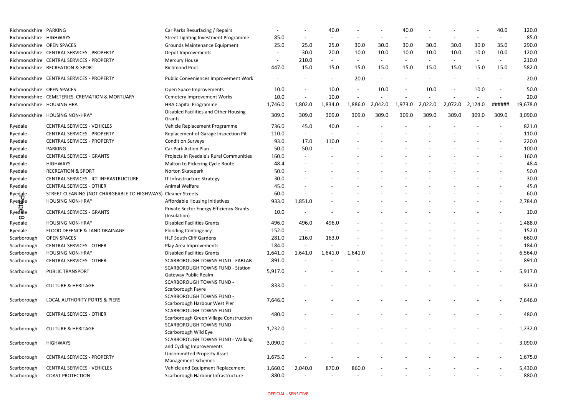| Richmondshire PARKING                         |                                                              | Car Parks Resurfacing / Repairs                                           |                              |         | 40.0    |         |         | 40.0    |         |         |         | 40.0                     | 120.0    |
|-----------------------------------------------|--------------------------------------------------------------|---------------------------------------------------------------------------|------------------------------|---------|---------|---------|---------|---------|---------|---------|---------|--------------------------|----------|
| Richmondshire HIGHWAYS                        |                                                              | Street Lighting Investment Programme                                      | 85.0                         |         |         |         |         |         |         |         |         |                          | 85.0     |
| Richmondshire OPEN SPACES                     |                                                              | Grounds Maintenance Equipment                                             | 25.0                         | 25.0    | 25.0    | 30.0    | 30.0    | 30.0    | 30.0    | 30.0    | 30.0    | 35.0                     | 290.0    |
|                                               | Richmondshire CENTRAL SERVICES - PROPERTY                    | Depot Improvements                                                        |                              | 30.0    | 20.0    | 10.0    | 10.0    | 10.0    | 10.0    | 10.0    | 10.0    | 10.0                     | 120.0    |
|                                               | Richmondshire CENTRAL SERVICES - PROPERTY                    | <b>Mercury House</b>                                                      | $\qquad \qquad \blacksquare$ | 210.0   |         |         |         |         |         |         |         |                          | 210.0    |
|                                               | Richmondshire RECREATION & SPORT                             | Richmond Pool                                                             | 447.0                        | 15.0    | 15.0    | 15.0    | 15.0    | 15.0    | 15.0    | 15.0    | 15.0    | 15.0                     | 582.0    |
|                                               | Richmondshire CENTRAL SERVICES - PROPERTY                    | Public Conveniences Improvement Work                                      |                              |         |         | 20.0    |         |         |         |         |         |                          | 20.0     |
| Richmondshire OPEN SPACES                     |                                                              | Open Space Improvements                                                   | 10.0                         |         | 10.0    |         | 10.0    |         | 10.0    |         | 10.0    | $\overline{\phantom{a}}$ | 50.0     |
|                                               | Richmondshire CEMETERIES, CREMATION & MORTUARY               | <b>Cemetery Improvement Works</b>                                         | 10.0                         |         | 10.0    |         |         |         |         |         |         |                          | 20.0     |
|                                               | Richmondshire HOUSING HRA                                    | <b>HRA Capital Programme</b>                                              | 1,746.0                      | 1,802.0 | 1,834.0 | 1,886.0 | 2,042.0 | 1,973.0 | 2,022.0 | 2,072.0 | 2,124.0 | ######                   | 19,678.0 |
|                                               | Richmondshire HOUSING NON-HRA*                               | Disabled Facilities and Other Housing<br>Grants                           | 309.0                        | 309.0   | 309.0   | 309.0   | 309.0   | 309.0   | 309.0   | 309.0   | 309.0   | 309.0                    | 3,090.0  |
| Ryedale                                       | <b>CENTRAL SERVICES - VEHICLES</b>                           | Vehicle Replacement Programme                                             | 736.0                        | 45.0    | 40.0    |         |         |         |         |         |         |                          | 821.0    |
| Ryedale                                       | <b>CENTRAL SERVICES - PROPERTY</b>                           | Replacement of Garage Inspection Pit                                      | 110.0                        | $\sim$  |         |         |         |         |         |         |         |                          | 110.0    |
| Ryedale                                       | <b>CENTRAL SERVICES - PROPERTY</b>                           | <b>Condition Surveys</b>                                                  | 93.0                         | 17.0    | 110.0   |         |         |         |         |         |         |                          | 220.0    |
| Ryedale                                       | <b>PARKING</b>                                               | Car Park Action Plan                                                      | 50.0                         | 50.0    |         |         |         |         |         |         |         |                          | 100.0    |
| Ryedale                                       | <b>CENTRAL SERVICES - GRANTS</b>                             | Projects in Ryedale's Rural Communities                                   | 160.0                        |         |         |         |         |         |         |         |         |                          | 160.0    |
| Ryedale                                       | <b>HIGHWAYS</b>                                              | Malton to Pickering Cycle Route                                           | 48.4                         |         |         |         |         |         |         |         |         |                          | 48.4     |
| Ryedale                                       | <b>RECREATION &amp; SPORT</b>                                | Norton Skatepark                                                          | 50.0                         |         |         |         |         |         |         |         |         |                          | 50.0     |
| Ryedale                                       | CENTRAL SERVICES - ICT INFRASTRUCTURE                        | IT Infrastructure Strategy                                                | 30.0                         |         |         |         |         |         |         |         |         |                          | 30.0     |
| Ryedale                                       | <b>CENTRAL SERVICES - OTHER</b>                              | Animal Welfare                                                            | 45.0                         |         |         |         |         |         |         |         |         |                          | 45.0     |
| Ryedale                                       | STREET CLEANING (NOT CHARGEABLE TO HIGHWAYS) Cleaner Streets |                                                                           | 60.0                         |         |         |         |         |         |         |         |         |                          | 60.0     |
| <b>Ryeddle</b>                                | <b>HOUSING NON-HRA*</b>                                      | Affordable Housing Initiatives                                            | 933.0                        | 1,851.0 |         |         |         |         |         |         |         |                          | 2,784.0  |
| $\boldsymbol{\Omega}$<br>Ryedelle<br>$\infty$ | <b>CENTRAL SERVICES - GRANTS</b>                             | Private Sector Energy Efficiency Grants<br>(Insulation)                   | 10.0                         |         |         |         |         |         |         |         |         |                          | 10.0     |
| Ryedale                                       | <b>HOUSING NON-HRA*</b>                                      | <b>Disabled Facilities Grants</b>                                         | 496.0                        | 496.0   | 496.0   |         |         |         |         |         |         |                          | 1,488.0  |
| Ryedale                                       | FLOOD DEFENCE & LAND DRAINAGE                                | <b>Flooding Contingency</b>                                               | 152.0                        |         |         |         |         |         |         |         |         |                          | 152.0    |
| Scarborough                                   | <b>OPEN SPACES</b>                                           | <b>HLF South Cliff Gardens</b>                                            | 281.0                        | 216.0   | 163.0   |         |         |         |         |         |         |                          | 660.0    |
| Scarborough                                   | <b>CENTRAL SERVICES - OTHER</b>                              | Play Area Improvements                                                    | 184.0                        |         |         |         |         |         |         |         |         |                          | 184.0    |
| Scarborough                                   | <b>HOUSING NON-HRA*</b>                                      | <b>Disabled Facilities Grants</b>                                         | 1,641.0                      | 1,641.0 | 1,641.0 | 1,641.0 |         |         |         |         |         |                          | 6,564.0  |
| Scarborough                                   | <b>CENTRAL SERVICES - OTHER</b>                              | <b>SCARBOROUGH TOWNS FUND - FABLAB</b>                                    | 891.0                        |         |         |         |         |         |         |         |         |                          | 891.0    |
| Scarborough                                   | <b>PUBLIC TRANSPORT</b>                                      | <b>SCARBOROUGH TOWNS FUND - Station</b><br><b>Gateway Public Realm</b>    | 5,917.0                      |         |         |         |         |         |         |         |         |                          | 5,917.0  |
| Scarborough                                   | <b>CULTURE &amp; HERITAGE</b>                                | <b>SCARBOROUGH TOWNS FUND -</b><br>Scarborough Fayre                      | 833.0                        |         |         |         |         |         |         |         |         |                          | 833.0    |
| Scarborough                                   | LOCAL AUTHORITY PORTS & PIERS                                | <b>SCARBOROUGH TOWNS FUND -</b><br>Scarborough Harbour West Pier          | 7,646.0                      |         |         |         |         |         |         |         |         |                          | 7,646.0  |
| Scarborough                                   | <b>CENTRAL SERVICES - OTHER</b>                              | <b>SCARBOROUGH TOWNS FUND -</b><br>Scarborough Green Village Construction | 480.0                        |         |         |         |         |         |         |         |         |                          | 480.0    |
| Scarborough                                   | <b>CULTURE &amp; HERITAGE</b>                                | <b>SCARBOROUGH TOWNS FUND -</b><br>Scarborough Wild Eye                   | 1,232.0                      |         |         |         |         |         |         |         |         |                          | 1,232.0  |
| Scarborough                                   | <b>HIGHWAYS</b>                                              | <b>SCARBOROUGH TOWNS FUND - Walking</b><br>and Cycling Improvements       | 3,090.0                      |         |         |         |         |         |         |         |         |                          | 3,090.0  |
| Scarborough                                   | <b>CENTRAL SERVICES - PROPERTY</b>                           | <b>Uncommitted Property Asset</b><br><b>Management Schemes</b>            | 1,675.0                      |         |         |         |         |         |         |         |         |                          | 1,675.0  |
| Scarborough                                   | <b>CENTRAL SERVICES - VEHICLES</b>                           | Vehicle and Equipment Replacement                                         | 1,660.0                      | 2,040.0 | 870.0   | 860.0   |         |         |         |         |         |                          | 5,430.0  |
| Scarborough                                   | <b>COAST PROTECTION</b>                                      | Scarborough Harbour Infrastructure                                        | 880.0                        |         |         |         |         |         |         |         |         |                          | 880.0    |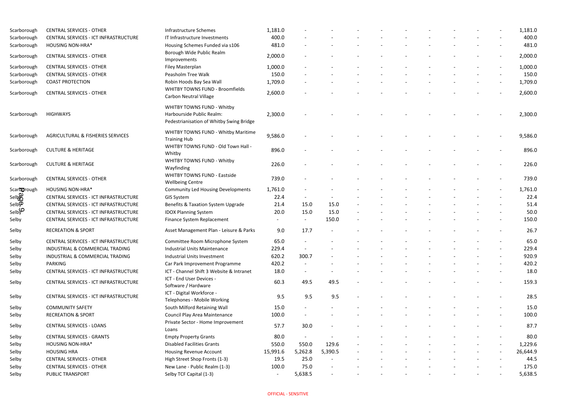| Scarborough        | <b>CENTRAL SERVICES - OTHER</b>              | Infrastructure Schemes                                                  | 1,181.0        |                          |         |  |  |  |                          | 1,181.0  |
|--------------------|----------------------------------------------|-------------------------------------------------------------------------|----------------|--------------------------|---------|--|--|--|--------------------------|----------|
| Scarborough        | CENTRAL SERVICES - ICT INFRASTRUCTURE        | IT Infrastructure Investments                                           | 400.0          |                          |         |  |  |  |                          | 400.0    |
| Scarborough        | <b>HOUSING NON-HRA*</b>                      | Housing Schemes Funded via s106                                         | 481.0          |                          |         |  |  |  |                          | 481.0    |
| Scarborough        | <b>CENTRAL SERVICES - OTHER</b>              | Borough Wide Public Realm<br>Improvements                               | 2,000.0        |                          |         |  |  |  |                          | 2,000.0  |
| Scarborough        | <b>CENTRAL SERVICES - OTHER</b>              | Filey Masterplan                                                        | 1,000.0        |                          |         |  |  |  |                          | 1,000.0  |
| Scarborough        | <b>CENTRAL SERVICES - OTHER</b>              | Peasholm Tree Walk                                                      | 150.0          |                          |         |  |  |  |                          | 150.0    |
| Scarborough        | <b>COAST PROTECTION</b>                      | Robin Hoods Bay Sea Wall                                                | 1,709.0        |                          |         |  |  |  | $\blacksquare$           | 1,709.0  |
| Scarborough        | <b>CENTRAL SERVICES - OTHER</b>              | <b>WHITBY TOWNS FUND - Broomfields</b><br><b>Carbon Neutral Village</b> | 2,600.0        |                          |         |  |  |  |                          | 2,600.0  |
|                    |                                              | <b>WHITBY TOWNS FUND - Whitby</b>                                       |                |                          |         |  |  |  |                          |          |
| Scarborough        | <b>HIGHWAYS</b>                              | Harbourside Public Realm:<br>Pedestrianisation of Whitby Swing Bridge   | 2,300.0        |                          |         |  |  |  |                          | 2,300.0  |
| Scarborough        | <b>AGRICULTURAL &amp; FISHERIES SERVICES</b> | WHITBY TOWNS FUND - Whitby Maritime<br><b>Training Hub</b>              | 9,586.0        |                          |         |  |  |  |                          | 9,586.0  |
| Scarborough        | <b>CULTURE &amp; HERITAGE</b>                | WHITBY TOWNS FUND - Old Town Hall -<br>Whitby                           | 896.0          |                          |         |  |  |  |                          | 896.0    |
| Scarborough        | <b>CULTURE &amp; HERITAGE</b>                | <b>WHITBY TOWNS FUND - Whitby</b><br>Wayfinding                         | 226.0          |                          |         |  |  |  |                          | 226.0    |
| Scarborough        | <b>CENTRAL SERVICES - OTHER</b>              | <b>WHITBY TOWNS FUND - Eastside</b><br><b>Wellbeing Centre</b>          | 739.0          |                          |         |  |  |  |                          | 739.0    |
| Scarborough        | <b>HOUSING NON-HRA*</b>                      | <b>Community Led Housing Developments</b>                               | 1,761.0        |                          |         |  |  |  |                          | 1,761.0  |
| <b>Selber</b>      | CENTRAL SERVICES - ICT INFRASTRUCTURE        | GIS System                                                              | 22.4           | $\overline{\phantom{0}}$ |         |  |  |  |                          | 22.4     |
| Selb $\mathcal{P}$ | CENTRAL SERVICES - ICT INFRASTRUCTURE        | Benefits & Taxation System Upgrade                                      | 21.4           | 15.0                     | 15.0    |  |  |  |                          | 51.4     |
| Selby              | CENTRAL SERVICES - ICT INFRASTRUCTURE        | <b>IDOX Planning System</b>                                             | 20.0           | 15.0                     | 15.0    |  |  |  |                          | 50.0     |
| Selby              | CENTRAL SERVICES - ICT INFRASTRUCTURE        | Finance System Replacement                                              |                | $\sim$                   | 150.0   |  |  |  | $\overline{\phantom{a}}$ | 150.0    |
| Selby              | <b>RECREATION &amp; SPORT</b>                | Asset Management Plan - Leisure & Parks                                 | 9.0            | 17.7                     |         |  |  |  |                          | 26.7     |
| Selby              | CENTRAL SERVICES - ICT INFRASTRUCTURE        | Committee Room Microphone System                                        | 65.0           |                          |         |  |  |  |                          | 65.0     |
| Selby              | INDUSTRIAL & COMMERCIAL TRADING              | <b>Industrial Units Maintenance</b>                                     | 229.4          |                          |         |  |  |  |                          | 229.4    |
| Selby              | INDUSTRIAL & COMMERCIAL TRADING              | <b>Industrial Units Investment</b>                                      | 620.2          | 300.7                    |         |  |  |  | $\overline{\phantom{a}}$ | 920.9    |
| Selby              | PARKING                                      | Car Park Improvement Programme                                          | 420.2          | $\sim$                   |         |  |  |  | $\overline{\phantom{a}}$ | 420.2    |
| Selby              | CENTRAL SERVICES - ICT INFRASTRUCTURE        | ICT - Channel Shift 3 Website & Intranet                                | 18.0           | $\blacksquare$           |         |  |  |  | $\overline{\phantom{a}}$ | 18.0     |
| Selby              | CENTRAL SERVICES - ICT INFRASTRUCTURE        | ICT - End User Devices -<br>Software / Hardware                         | 60.3           | 49.5                     | 49.5    |  |  |  | $\overline{\phantom{a}}$ | 159.3    |
| Selby              | CENTRAL SERVICES - ICT INFRASTRUCTURE        | ICT - Digital Workforce -<br>Telephones - Mobile Working                | 9.5            | 9.5                      | 9.5     |  |  |  |                          | 28.5     |
| Selby              | <b>COMMUNITY SAFETY</b>                      | South Milford Retaining Wall                                            | 15.0           |                          |         |  |  |  |                          | 15.0     |
| Selby              | <b>RECREATION &amp; SPORT</b>                | Council Play Area Maintenance                                           | 100.0          |                          |         |  |  |  |                          | 100.0    |
| Selby              | <b>CENTRAL SERVICES - LOANS</b>              | Private Sector - Home Improvement<br>Loans                              | 57.7           | 30.0                     |         |  |  |  |                          | 87.7     |
| Selby              | <b>CENTRAL SERVICES - GRANTS</b>             | <b>Empty Property Grants</b>                                            | 80.0           | $\sim$                   |         |  |  |  |                          | 80.0     |
| Selby              | <b>HOUSING NON-HRA*</b>                      | <b>Disabled Facilities Grants</b>                                       | 550.0          | 550.0                    | 129.6   |  |  |  |                          | 1,229.6  |
| Selby              | <b>HOUSING HRA</b>                           | <b>Housing Revenue Account</b>                                          | 15,991.6       | 5,262.8                  | 5,390.5 |  |  |  | $\overline{\phantom{a}}$ | 26,644.9 |
| Selby              | <b>CENTRAL SERVICES - OTHER</b>              | High Street Shop Fronts (1-3)                                           | 19.5           | 25.0                     |         |  |  |  |                          | 44.5     |
| Selby              | <b>CENTRAL SERVICES - OTHER</b>              | New Lane - Public Realm (1-3)                                           | 100.0          | 75.0                     |         |  |  |  |                          | 175.0    |
| Selby              | PUBLIC TRANSPORT                             | Selby TCF Capital (1-3)                                                 | $\blacksquare$ | 5,638.5                  |         |  |  |  | $\blacksquare$           | 5,638.5  |

|  | 1,181.0  |
|--|----------|
|  | 400.0    |
|  | 481.0    |
|  | 2,000.0  |
|  | 1,000.0  |
|  | 150.0    |
|  | 1,709.0  |
|  | 2,600.0  |
|  |          |
|  | 2,300.0  |
|  |          |
|  | 9,586.0  |
|  | 896.0    |
|  | 226.0    |
|  | 739.0    |
|  | 1,761.0  |
|  | 22.4     |
|  | 51.4     |
|  | 50.0     |
|  | 150.0    |
|  | 26.7     |
|  | 65.0     |
|  | 229.4    |
|  | 920.9    |
|  | 420.2    |
|  | 18.0     |
|  | 159.3    |
|  | 28.5     |
|  | 15.0     |
|  | 100.0    |
|  | 87.7     |
|  | 80.0     |
|  | 1,229.6  |
|  | 26,644.9 |
|  | 44.5     |
|  | 175.0    |
|  | 5,638.5  |